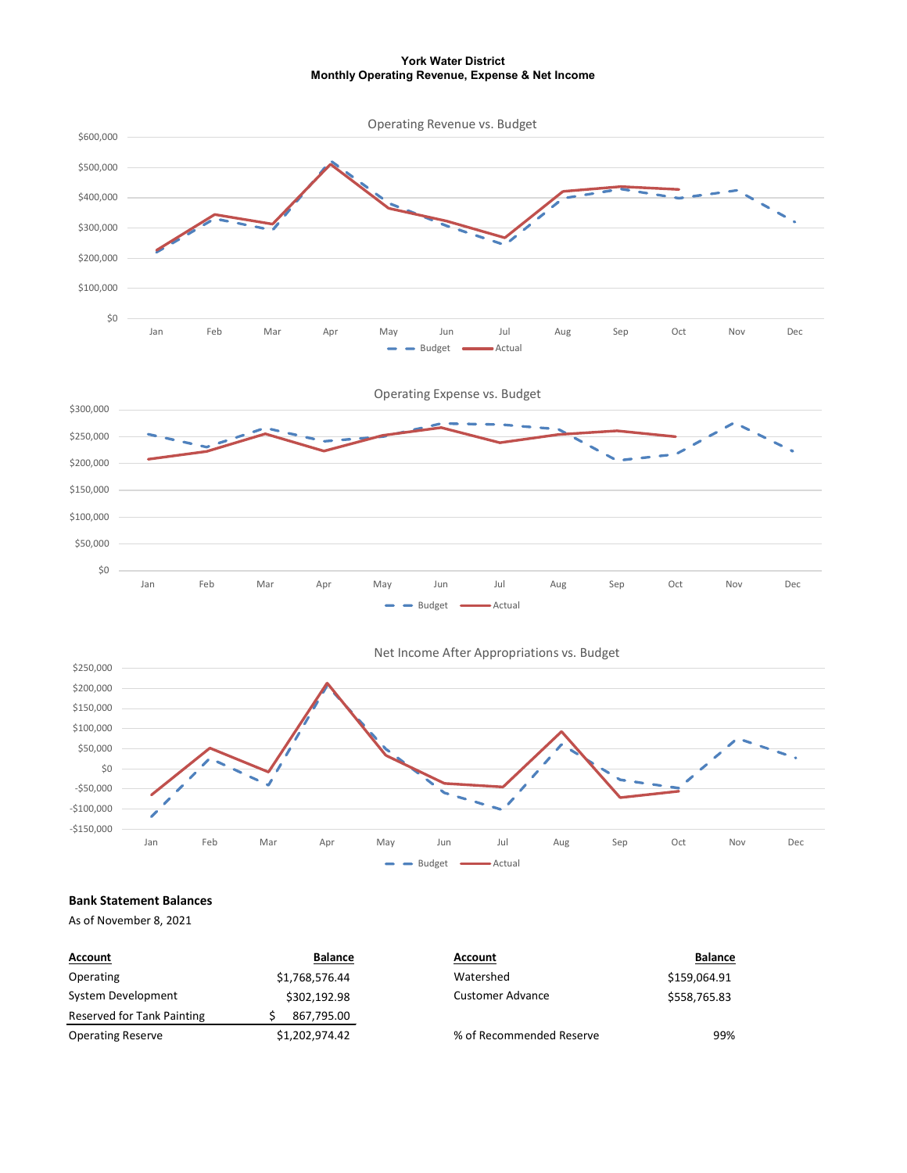York Water District Monthly Operating Revenue, Expense & Net Income



## Bank Statement Balances

As of November 8, 2021

| <b>Account</b>             | <b>Balance</b> | Account                  | <b>Balance</b> |
|----------------------------|----------------|--------------------------|----------------|
| Operating                  | \$1,768,576.44 | Watershed                | \$159,064.91   |
| System Development         | \$302,192.98   | <b>Customer Advance</b>  | \$558,765.83   |
| Reserved for Tank Painting | 867,795.00     |                          |                |
| <b>Operating Reserve</b>   | \$1,202,974.42 | % of Recommended Reserve | 99%            |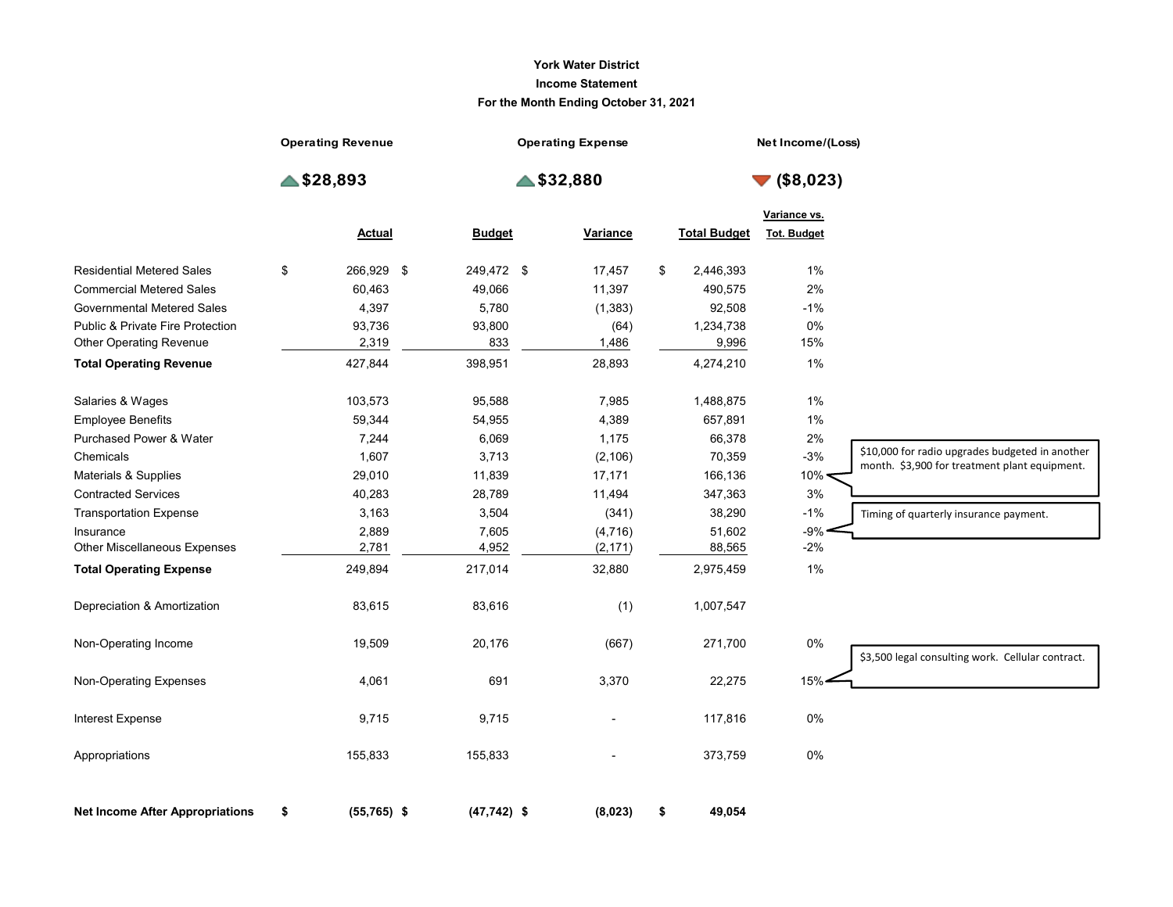## York Water District Income Statement For the Month Ending October 31, 2021

|                                           |                          |                      | <b>York Water District</b>            |    |                     |                                |                                                                                                  |
|-------------------------------------------|--------------------------|----------------------|---------------------------------------|----|---------------------|--------------------------------|--------------------------------------------------------------------------------------------------|
|                                           |                          |                      | <b>Income Statement</b>               |    |                     |                                |                                                                                                  |
|                                           |                          |                      | For the Month Ending October 31, 2021 |    |                     |                                |                                                                                                  |
|                                           | <b>Operating Revenue</b> |                      | <b>Operating Expense</b>              |    |                     | Net Income/(Loss)              |                                                                                                  |
|                                           | $\triangle$ \$28,893     | $\triangle$ \$32,880 |                                       |    |                     | $\blacktriangledown$ (\$8,023) |                                                                                                  |
|                                           |                          |                      |                                       |    |                     | Variance vs.                   |                                                                                                  |
|                                           | <b>Actual</b>            | <b>Budget</b>        | <b>Variance</b>                       |    | <b>Total Budget</b> | <b>Tot. Budget</b>             |                                                                                                  |
| <b>Residential Metered Sales</b>          | \$<br>266,929 \$         | 249,472 \$           | 17,457                                | \$ | 2,446,393           | $1\%$                          |                                                                                                  |
| <b>Commercial Metered Sales</b>           | 60,463                   | 49,066               | 11,397                                |    | 490,575             | 2%                             |                                                                                                  |
| <b>Governmental Metered Sales</b>         | 4,397                    | 5,780                | (1, 383)                              |    | 92,508              | $-1%$                          |                                                                                                  |
| Public & Private Fire Protection          | 93,736                   | 93,800               | (64)                                  |    | 1,234,738           | $0\%$                          |                                                                                                  |
| Other Operating Revenue                   | 2,319                    | 833                  | 1,486                                 |    | 9,996               | 15%                            |                                                                                                  |
| <b>Total Operating Revenue</b>            | 427,844                  | 398,951              | 28,893                                |    | 4,274,210           | 1%                             |                                                                                                  |
| Salaries & Wages                          | 103,573                  | 95,588               | 7,985                                 |    | 1,488,875           | 1%                             |                                                                                                  |
| <b>Employee Benefits</b>                  | 59,344                   | 54,955               | 4,389                                 |    | 657,891             | $1\%$                          |                                                                                                  |
| Purchased Power & Water                   | 7,244                    | 6,069                | 1,175                                 |    | 66,378              | $2\%$                          |                                                                                                  |
| Chemicals                                 | 1,607                    | 3,713                | (2, 106)                              |    | 70,359              | $-3%$                          | \$10,000 for radio upgrades budgeted in another<br>month. \$3,900 for treatment plant equipment. |
| Materials & Supplies                      | 29,010                   | 11,839               | 17,171                                |    | 166,136             | $10\%$                         |                                                                                                  |
| <b>Contracted Services</b>                | 40,283                   | 28,789               | 11,494                                |    | 347,363             | 3%                             |                                                                                                  |
| <b>Transportation Expense</b>             | 3,163                    | 3,504                | (341)                                 |    | 38,290              | $-1%$                          | Timing of quarterly insurance payment.                                                           |
| Insurance<br>Other Miscellaneous Expenses | 2,889<br>2,781           | 7,605<br>4,952       | (4, 716)<br>(2, 171)                  |    | 51,602<br>88,565    | $-9\%$ $\leftarrow$<br>$-2%$   |                                                                                                  |
| <b>Total Operating Expense</b>            | 249,894                  | 217,014              | 32,880                                |    | 2,975,459           | 1%                             |                                                                                                  |
| Depreciation & Amortization               | 83,615                   | 83,616               | (1)                                   |    | 1,007,547           |                                |                                                                                                  |
| Non-Operating Income                      | 19,509                   | 20,176               | (667)                                 |    | 271,700             | $0\%$                          | \$3,500 legal consulting work. Cellular contract.                                                |
| Non-Operating Expenses                    | 4,061                    | 691                  | 3,370                                 |    | 22,275              | 15%                            |                                                                                                  |
| Interest Expense                          | 9,715                    | 9,715                | $\overline{\phantom{a}}$              |    | 117,816             | $0\%$                          |                                                                                                  |
| Appropriations                            | 155,833                  | 155,833              |                                       |    | 373,759             | $0\%$                          |                                                                                                  |